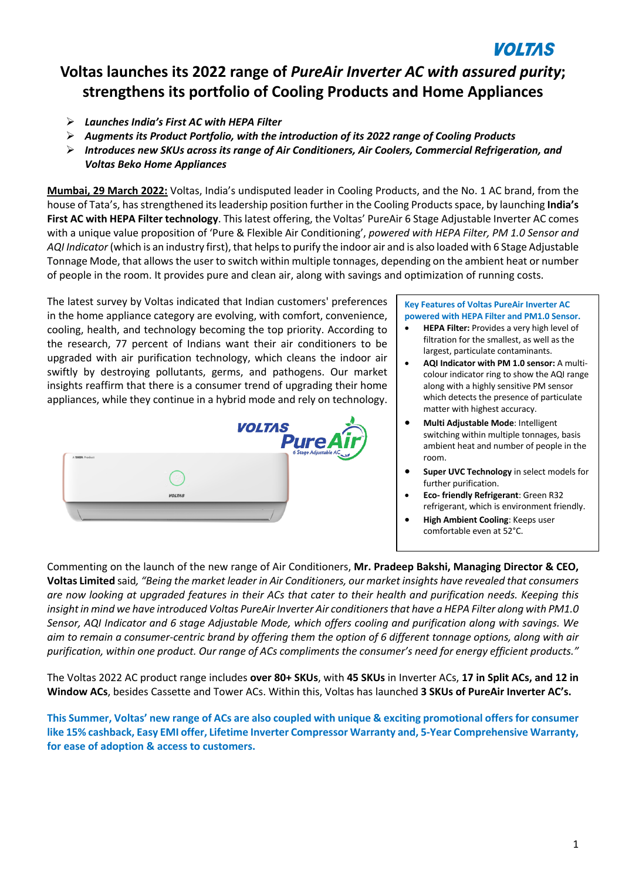# **VOLTAS**

## **Voltas launches its 2022 range of** *PureAir Inverter AC with assured purity***; strengthens its portfolio of Cooling Products and Home Appliances**

- Ø *Launches India's First AC with HEPA Filter*
- Ø *Augments its Product Portfolio, with the introduction of its 2022 range of Cooling Products*
- Ø *Introduces new SKUs across its range of Air Conditioners, Air Coolers, Commercial Refrigeration, and Voltas Beko Home Appliances*

**Mumbai, 29 March 2022:** Voltas, India's undisputed leader in Cooling Products, and the No. 1 AC brand, from the house of Tata's, hasstrengthened itsleadership position further in the Cooling Productsspace, by launching **India's First AC with HEPA Filter technology**. This latest offering, the Voltas' PureAir 6 Stage Adjustable Inverter AC comes with a unique value proposition of 'Pure & Flexible Air Conditioning', *powered with HEPA Filter, PM 1.0 Sensor and AQI Indicator* (which is an industry first), that helpsto purify the indoor air and is also loaded with 6 Stage Adjustable Tonnage Mode, that allowsthe user to switch within multiple tonnages, depending on the ambient heat or number of people in the room. It provides pure and clean air, along with savings and optimization of running costs.

The latest survey by Voltas indicated that Indian customers' preferences in the home appliance category are evolving, with comfort, convenience, cooling, health, and technology becoming the top priority. According to the research, 77 percent of Indians want their air conditioners to be upgraded with air purification technology, which cleans the indoor air swiftly by destroying pollutants, germs, and pathogens. Our market insights reaffirm that there is a consumer trend of upgrading their home appliances, while they continue in a hybrid mode and rely on technology.



#### **Key Features of Voltas PureAir Inverter AC powered with HEPA Filter and PM1.0 Sensor.**

- **HEPA Filter:** Provides a very high level of filtration for the smallest, as well as the largest, particulate contaminants.
- **AQI Indicator with PM 1.0 sensor:** A multicolour indicator ring to show the AQI range along with a highly sensitive PM sensor which detects the presence of particulate matter with highest accuracy.
- **Multi Adjustable Mode**: Intelligent switching within multiple tonnages, basis ambient heat and number of people in the room.
- **Super UVC Technology** in select models for further purification.
- **Eco- friendly Refrigerant**: Green R32 refrigerant, which is environment friendly.
- **High Ambient Cooling**: Keeps user comfortable even at 52°C.

Commenting on the launch of the new range of Air Conditioners, **Mr. Pradeep Bakshi, Managing Director & CEO,** Voltas Limited said, "Being the market leader in Air Conditioners, our market insights have revealed that consumers are now looking at upgraded features in their ACs that cater to their health and purification needs. Keeping this insight in mind we have introduced Voltas PureAir Inverter Air conditioners that have a HEPA Filter along with PM1.0 Sensor, AQI Indicator and 6 stage Adjustable Mode, which offers cooling and purification along with savings. We aim to remain a consumer-centric brand by offering them the option of 6 different tonnage options, along with air purification, within one product. Our range of ACs compliments the consumer's need for energy efficient products."

The Voltas 2022 AC product range includes **over 80+ SKUs**, with **45 SKUs** in Inverter ACs, **17 in Split ACs, and 12 in Window ACs**, besides Cassette and Tower ACs. Within this, Voltas has launched **3 SKUs of PureAir Inverter AC's.**

This Summer, Voltas' new range of ACs are also coupled with unique & exciting promotional offers for consumer **like 15% cashback, Easy EMI offer, Lifetime Inverter Compressor Warranty and, 5-Year Comprehensive Warranty, for ease of adoption & access to customers.**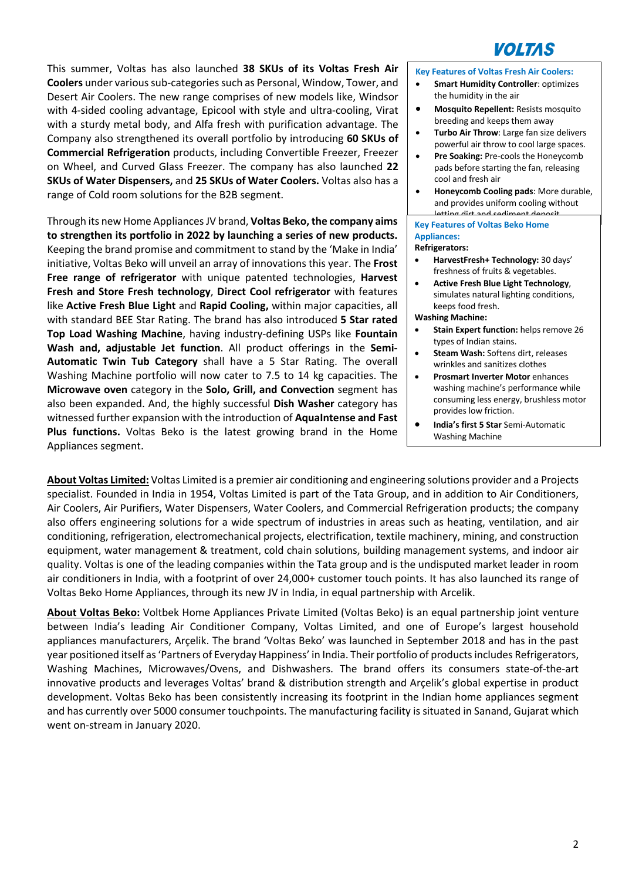

This summer, Voltas has also launched **38 SKUs of its Voltas Fresh Air Coolers** under various sub-categories such as Personal, Window, Tower, and Desert Air Coolers. The new range comprises of new models like, Windsor with 4-sided cooling advantage, Epicool with style and ultra-cooling, Virat with a sturdy metal body, and Alfa fresh with purification advantage. The Company also strengthened its overall portfolio by introducing **60 SKUs of Commercial Refrigeration** products, including Convertible Freezer, Freezer on Wheel, and Curved Glass Freezer. The company has also launched **22 SKUs of Water Dispensers,** and **25 SKUs of Water Coolers.** Voltas also has a range of Cold room solutions for the B2B segment.

Through its new Home AppliancesJV brand, **Voltas Beko,the company aims to strengthen its portfolio in 2022 by launching a series of new products.** Keeping the brand promise and commitment to stand by the 'Make in India' initiative, Voltas Beko will unveil an array of innovations this year. The **Frost Free range of refrigerator** with unique patented technologies, **Harvest Fresh and Store Fresh technology**, **Direct Cool refrigerator** with features like **Active Fresh Blue Light** and **Rapid Cooling,** within major capacities, all with standard BEE Star Rating. The brand has also introduced **5 Star rated Top Load Washing Machine**, having industry-defining USPs like **Fountain Wash and, adjustable Jet function**. All product offerings in the **Semi-Automatic Twin Tub Category** shall have a 5 Star Rating. The overall Washing Machine portfolio will now cater to 7.5 to 14 kg capacities. The **Microwave oven** category in the **Solo, Grill, and Convection** segment has also been expanded. And, the highly successful **Dish Washer** category has witnessed further expansion with the introduction of **AquaIntense and Fast Plus functions.** Voltas Beko is the latest growing brand in the Home Appliances segment.

**Key Features of Voltas Fresh Air Coolers:**

- **Smart Humidity Controller: optimizes** the humidity in the air
- **Mosquito Repellent:** Resists mosquito breeding and keeps them away
- **Turbo Air Throw**: Large fan size delivers powerful air throw to cool large spaces.
- **Pre Soaking:** Pre-cools the Honeycomb pads before starting the fan, releasing cool and fresh air
- **Honeycomb Cooling pads**: More durable, and provides uniform cooling without dirt and sedim

## **Key Features of Voltas Beko Home Appliances:**

### **Refrigerators:**

- **HarvestFresh+ Technology:** 30 days' freshness of fruits & vegetables.
- **Active Fresh Blue Light Technology**, simulates natural lighting conditions, keeps food fresh.

## **Washing Machine:**

- **Stain Expert function:** helps remove 26 types of Indian stains.
- **Steam Wash:** Softens dirt, releases wrinkles and sanitizes clothes
- **Prosmart Inverter Motor** enhances washing machine's performance while consuming less energy, brushless motor provides low friction.
- **India's first 5 Star** Semi-Automatic Washing Machine

**About Voltas Limited:** Voltas Limited is a premier air conditioning and engineering solutions provider and a Projects specialist. Founded in India in 1954, Voltas Limited is part of the Tata Group, and in addition to Air Conditioners, Air Coolers, Air Purifiers, Water Dispensers, Water Coolers, and Commercial Refrigeration products; the company also offers engineering solutions for a wide spectrum of industries in areas such as heating, ventilation, and air conditioning, refrigeration, electromechanical projects, electrification, textile machinery, mining, and construction equipment, water management & treatment, cold chain solutions, building management systems, and indoor air quality. Voltas is one of the leading companies within the Tata group and is the undisputed market leader in room air conditioners in India, with a footprint of over 24,000+ customer touch points. It has also launched its range of Voltas Beko Home Appliances, through its new JV in India, in equal partnership with Arcelik.

**About Voltas Beko:** Voltbek Home Appliances Private Limited (Voltas Beko) is an equal partnership joint venture between India's leading Air Conditioner Company, Voltas Limited, and one of Europe's largest household appliances manufacturers, Arçelik. The brand 'Voltas Beko' was launched in September 2018 and has in the past year positioned itself as 'Partners of Everyday Happiness' in India. Their portfolio of products includes Refrigerators, Washing Machines, Microwaves/Ovens, and Dishwashers. The brand offers its consumers state-of-the-art innovative products and leverages Voltas' brand & distribution strength and Arçelik's global expertise in product development. Voltas Beko has been consistently increasing its footprint in the Indian home appliances segment and has currently over 5000 consumer touchpoints. The manufacturing facility is situated in Sanand, Gujarat which went on-stream in January 2020.